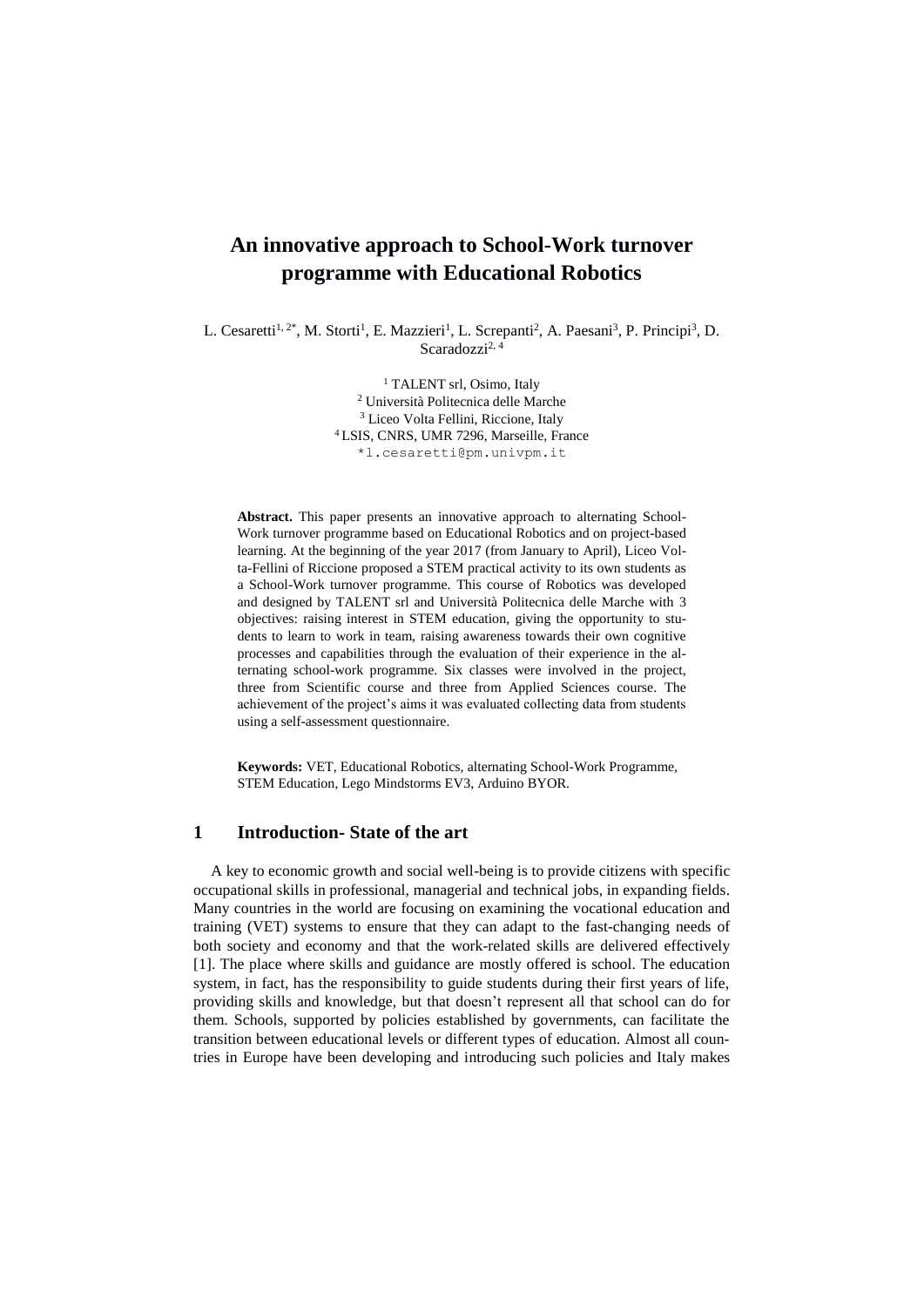# **An innovative approach to School-Work turnover programme with Educational Robotics**

L. Cesaretti<sup>1, 2\*</sup>, M. Storti<sup>1</sup>, E. Mazzieri<sup>1</sup>, L. Screpanti<sup>2</sup>, A. Paesani<sup>3</sup>, P. Principi<sup>3</sup>, D. Scaradozzi $^{2, 4}$ 

> <sup>1</sup> TALENT srl, Osimo, Italy <sup>2</sup> Università Politecnica delle Marche <sup>3</sup> Liceo Volta Fellini, Riccione, Italy <sup>4</sup> LSIS, CNRS, UMR 7296, Marseille, France \*l.cesaretti@pm.univpm.it

**Abstract.** This paper presents an innovative approach to alternating School-Work turnover programme based on Educational Robotics and on project-based learning. At the beginning of the year 2017 (from January to April), Liceo Volta-Fellini of Riccione proposed a STEM practical activity to its own students as a School-Work turnover programme. This course of Robotics was developed and designed by TALENT srl and Università Politecnica delle Marche with 3 objectives: raising interest in STEM education, giving the opportunity to students to learn to work in team, raising awareness towards their own cognitive processes and capabilities through the evaluation of their experience in the alternating school-work programme. Six classes were involved in the project, three from Scientific course and three from Applied Sciences course. The achievement of the project's aims it was evaluated collecting data from students using a self-assessment questionnaire.

**Keywords:** VET, Educational Robotics, alternating School-Work Programme, STEM Education, Lego Mindstorms EV3, Arduino BYOR.

# **1 Introduction- State of the art**

A key to economic growth and social well-being is to provide citizens with specific occupational skills in professional, managerial and technical jobs, in expanding fields. Many countries in the world are focusing on examining the vocational education and training (VET) systems to ensure that they can adapt to the fast-changing needs of both society and economy and that the work-related skills are delivered effectively [1]. The place where skills and guidance are mostly offered is school. The education system, in fact, has the responsibility to guide students during their first years of life, providing skills and knowledge, but that doesn't represent all that school can do for them. Schools, supported by policies established by governments, can facilitate the transition between educational levels or different types of education. Almost all countries in Europe have been developing and introducing such policies and Italy makes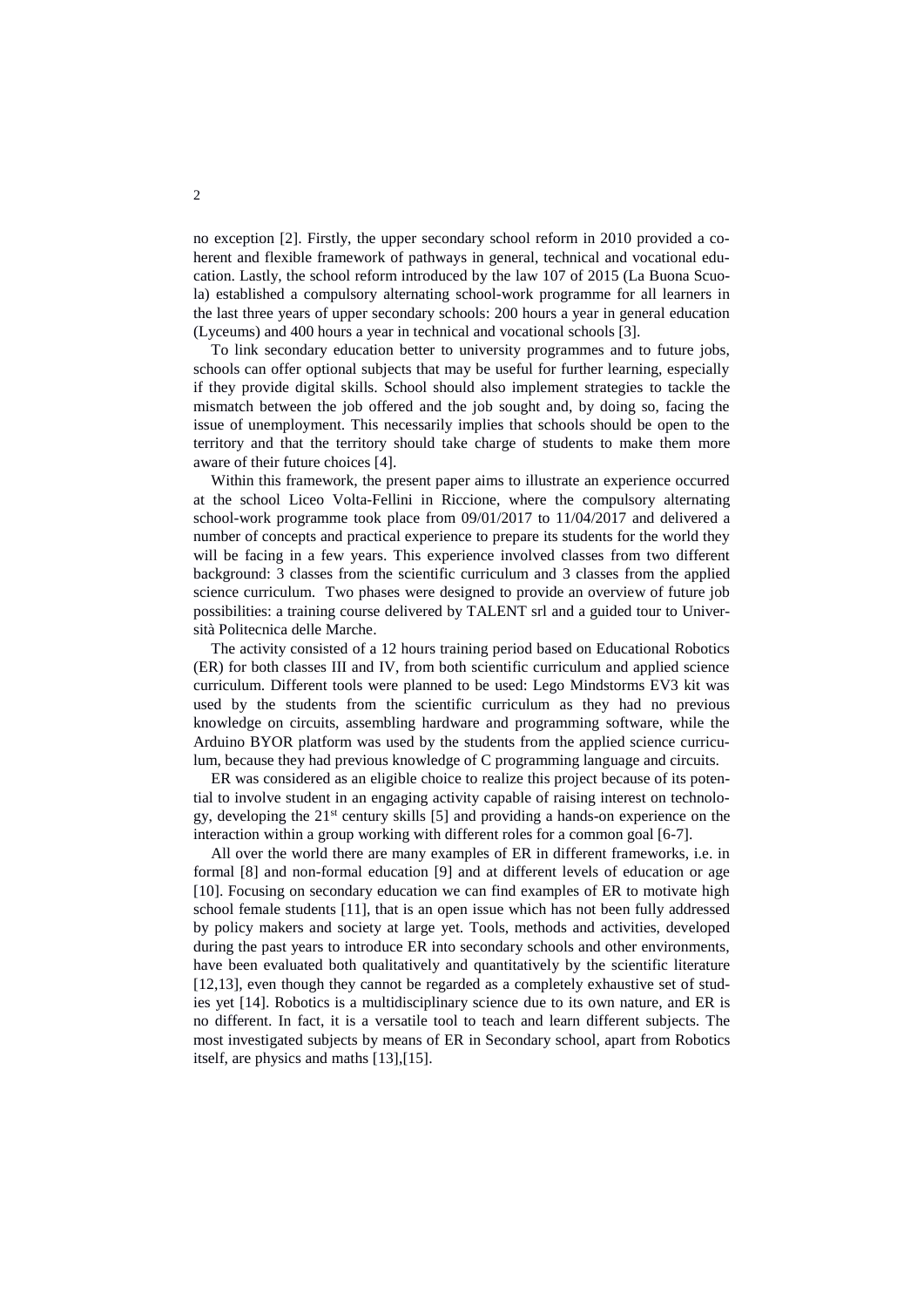no exception [2]. Firstly, the upper secondary school reform in 2010 provided a coherent and flexible framework of pathways in general, technical and vocational education. Lastly, the school reform introduced by the law 107 of 2015 (La Buona Scuola) established a compulsory alternating school-work programme for all learners in the last three years of upper secondary schools: 200 hours a year in general education (Lyceums) and 400 hours a year in technical and vocational schools [3].

To link secondary education better to university programmes and to future jobs, schools can offer optional subjects that may be useful for further learning, especially if they provide digital skills. School should also implement strategies to tackle the mismatch between the job offered and the job sought and, by doing so, facing the issue of unemployment. This necessarily implies that schools should be open to the territory and that the territory should take charge of students to make them more aware of their future choices [4].

Within this framework, the present paper aims to illustrate an experience occurred at the school Liceo Volta-Fellini in Riccione, where the compulsory alternating school-work programme took place from 09/01/2017 to 11/04/2017 and delivered a number of concepts and practical experience to prepare its students for the world they will be facing in a few years. This experience involved classes from two different background: 3 classes from the scientific curriculum and 3 classes from the applied science curriculum. Two phases were designed to provide an overview of future job possibilities: a training course delivered by TALENT srl and a guided tour to Università Politecnica delle Marche.

The activity consisted of a 12 hours training period based on Educational Robotics (ER) for both classes III and IV, from both scientific curriculum and applied science curriculum. Different tools were planned to be used: Lego Mindstorms EV3 kit was used by the students from the scientific curriculum as they had no previous knowledge on circuits, assembling hardware and programming software, while the Arduino BYOR platform was used by the students from the applied science curriculum, because they had previous knowledge of C programming language and circuits.

ER was considered as an eligible choice to realize this project because of its potential to involve student in an engaging activity capable of raising interest on technology, developing the 21st century skills [5] and providing a hands-on experience on the interaction within a group working with different roles for a common goal [6-7].

All over the world there are many examples of ER in different frameworks, i.e. in formal [8] and non-formal education [9] and at different levels of education or age [10]. Focusing on secondary education we can find examples of ER to motivate high school female students [11], that is an open issue which has not been fully addressed by policy makers and society at large yet. Tools, methods and activities, developed during the past years to introduce ER into secondary schools and other environments, have been evaluated both qualitatively and quantitatively by the scientific literature [12,13], even though they cannot be regarded as a completely exhaustive set of studies yet [14]. Robotics is a multidisciplinary science due to its own nature, and ER is no different. In fact, it is a versatile tool to teach and learn different subjects. The most investigated subjects by means of ER in Secondary school, apart from Robotics itself, are physics and maths [13],[15].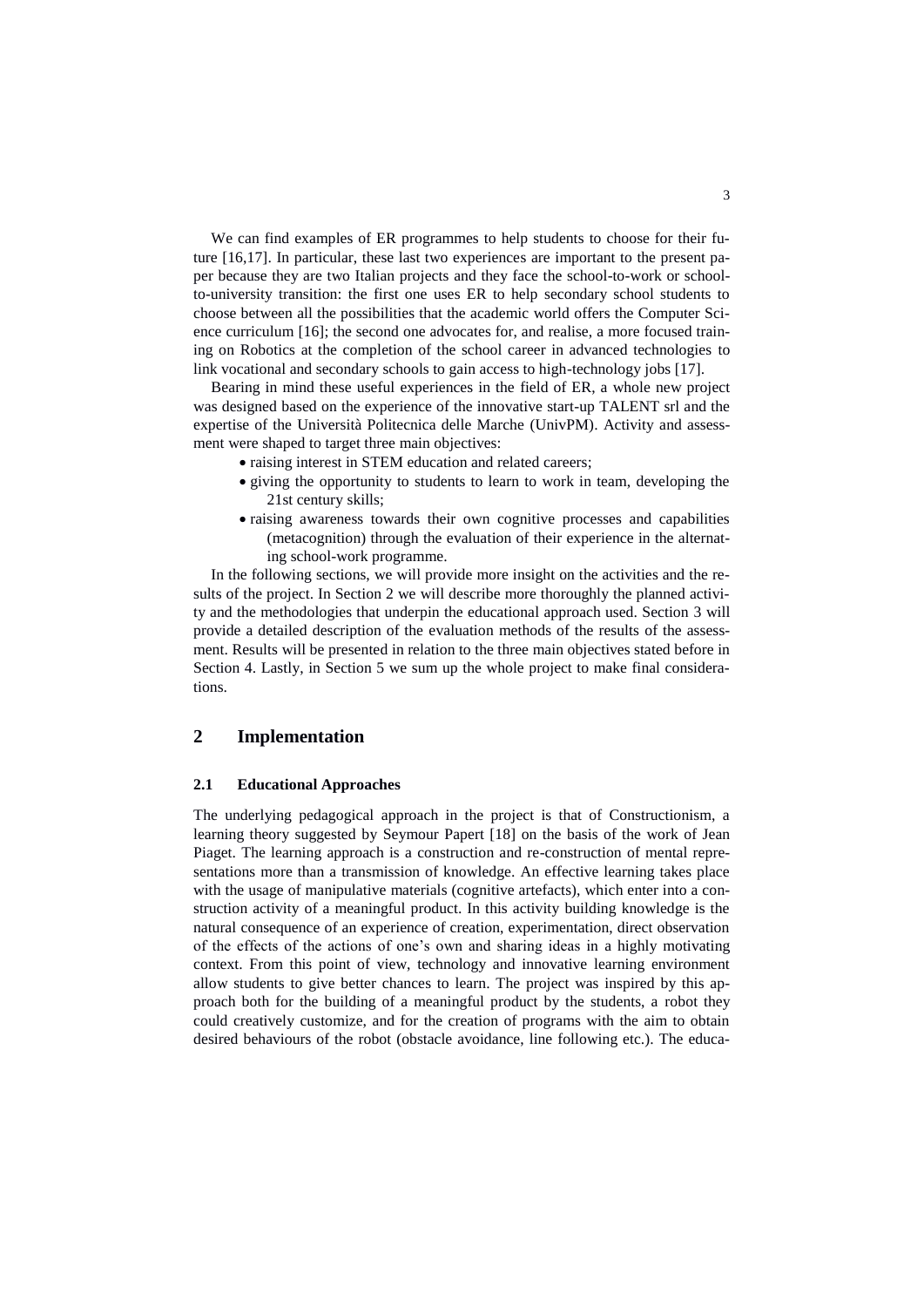We can find examples of ER programmes to help students to choose for their future [16,17]. In particular, these last two experiences are important to the present paper because they are two Italian projects and they face the school-to-work or schoolto-university transition: the first one uses ER to help secondary school students to choose between all the possibilities that the academic world offers the Computer Science curriculum [16]; the second one advocates for, and realise, a more focused training on Robotics at the completion of the school career in advanced technologies to link vocational and secondary schools to gain access to high-technology jobs [17].

Bearing in mind these useful experiences in the field of ER, a whole new project was designed based on the experience of the innovative start-up TALENT srl and the expertise of the Università Politecnica delle Marche (UnivPM). Activity and assessment were shaped to target three main objectives:

- raising interest in STEM education and related careers;
- giving the opportunity to students to learn to work in team, developing the 21st century skills;
- raising awareness towards their own cognitive processes and capabilities (metacognition) through the evaluation of their experience in the alternating school-work programme.

In the following sections, we will provide more insight on the activities and the results of the project. In Section 2 we will describe more thoroughly the planned activity and the methodologies that underpin the educational approach used. Section 3 will provide a detailed description of the evaluation methods of the results of the assessment. Results will be presented in relation to the three main objectives stated before in Section 4. Lastly, in Section 5 we sum up the whole project to make final considerations.

## **2 Implementation**

#### **2.1 Educational Approaches**

The underlying pedagogical approach in the project is that of Constructionism, a learning theory suggested by Seymour Papert [18] on the basis of the work of Jean Piaget. The learning approach is a construction and re-construction of mental representations more than a transmission of knowledge. An effective learning takes place with the usage of manipulative materials (cognitive artefacts), which enter into a construction activity of a meaningful product. In this activity building knowledge is the natural consequence of an experience of creation, experimentation, direct observation of the effects of the actions of one's own and sharing ideas in a highly motivating context. From this point of view, technology and innovative learning environment allow students to give better chances to learn. The project was inspired by this approach both for the building of a meaningful product by the students, a robot they could creatively customize, and for the creation of programs with the aim to obtain desired behaviours of the robot (obstacle avoidance, line following etc.). The educa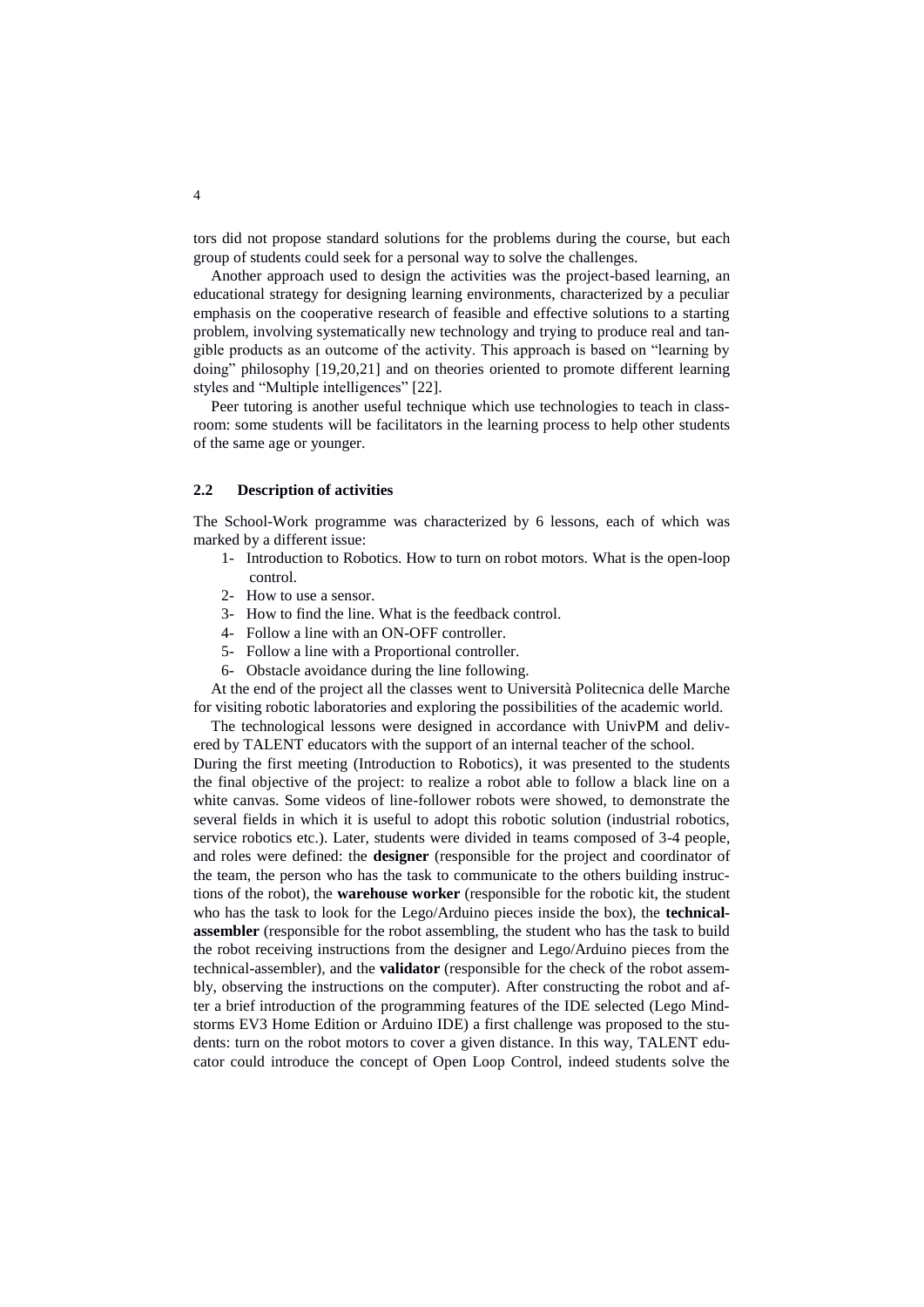tors did not propose standard solutions for the problems during the course, but each group of students could seek for a personal way to solve the challenges.

Another approach used to design the activities was the project-based learning, an educational strategy for designing learning environments, characterized by a peculiar emphasis on the cooperative research of feasible and effective solutions to a starting problem, involving systematically new technology and trying to produce real and tangible products as an outcome of the activity. This approach is based on "learning by doing" philosophy [19,20,21] and on theories oriented to promote different learning styles and "Multiple intelligences" [22].

Peer tutoring is another useful technique which use technologies to teach in classroom: some students will be facilitators in the learning process to help other students of the same age or younger.

#### **2.2 Description of activities**

The School-Work programme was characterized by 6 lessons, each of which was marked by a different issue:

- 1- Introduction to Robotics. How to turn on robot motors. What is the open-loop control.
- 2- How to use a sensor.
- 3- How to find the line. What is the feedback control.
- 4- Follow a line with an ON-OFF controller.
- 5- Follow a line with a Proportional controller.
- 6- Obstacle avoidance during the line following.

At the end of the project all the classes went to Università Politecnica delle Marche for visiting robotic laboratories and exploring the possibilities of the academic world.

The technological lessons were designed in accordance with UnivPM and delivered by TALENT educators with the support of an internal teacher of the school.

During the first meeting (Introduction to Robotics), it was presented to the students the final objective of the project: to realize a robot able to follow a black line on a white canvas. Some videos of line-follower robots were showed, to demonstrate the several fields in which it is useful to adopt this robotic solution (industrial robotics, service robotics etc.). Later, students were divided in teams composed of 3-4 people, and roles were defined: the **designer** (responsible for the project and coordinator of the team, the person who has the task to communicate to the others building instructions of the robot), the **warehouse worker** (responsible for the robotic kit, the student who has the task to look for the Lego/Arduino pieces inside the box), the **technicalassembler** (responsible for the robot assembling, the student who has the task to build the robot receiving instructions from the designer and Lego/Arduino pieces from the technical-assembler), and the **validator** (responsible for the check of the robot assembly, observing the instructions on the computer). After constructing the robot and after a brief introduction of the programming features of the IDE selected (Lego Mindstorms EV3 Home Edition or Arduino IDE) a first challenge was proposed to the students: turn on the robot motors to cover a given distance. In this way, TALENT educator could introduce the concept of Open Loop Control, indeed students solve the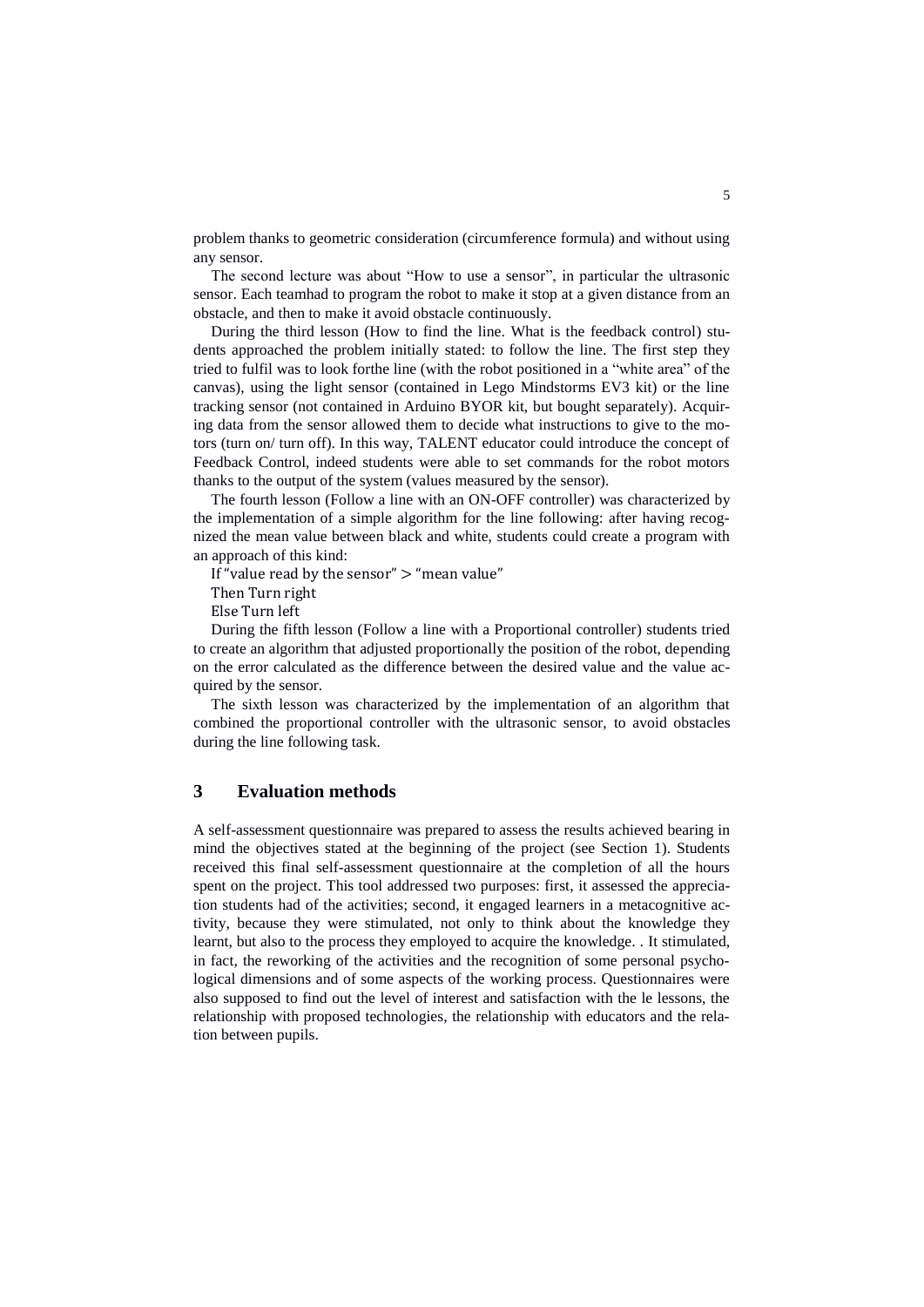problem thanks to geometric consideration (circumference formula) and without using any sensor.

The second lecture was about "How to use a sensor", in particular the ultrasonic sensor. Each teamhad to program the robot to make it stop at a given distance from an obstacle, and then to make it avoid obstacle continuously.

During the third lesson (How to find the line. What is the feedback control) students approached the problem initially stated: to follow the line. The first step they tried to fulfil was to look forthe line (with the robot positioned in a "white area" of the canvas), using the light sensor (contained in Lego Mindstorms EV3 kit) or the line tracking sensor (not contained in Arduino BYOR kit, but bought separately). Acquiring data from the sensor allowed them to decide what instructions to give to the motors (turn on/ turn off). In this way, TALENT educator could introduce the concept of Feedback Control, indeed students were able to set commands for the robot motors thanks to the output of the system (values measured by the sensor).

The fourth lesson (Follow a line with an ON-OFF controller) was characterized by the implementation of a simple algorithm for the line following: after having recognized the mean value between black and white, students could create a program with an approach of this kind:

If "value read by the sensor"  $>$  "mean value"

Then Turn right

Else Turn left

During the fifth lesson (Follow a line with a Proportional controller) students tried to create an algorithm that adjusted proportionally the position of the robot, depending on the error calculated as the difference between the desired value and the value acquired by the sensor.

The sixth lesson was characterized by the implementation of an algorithm that combined the proportional controller with the ultrasonic sensor, to avoid obstacles during the line following task.

# **3 Evaluation methods**

A self-assessment questionnaire was prepared to assess the results achieved bearing in mind the objectives stated at the beginning of the project (see Section 1). Students received this final self-assessment questionnaire at the completion of all the hours spent on the project. This tool addressed two purposes: first, it assessed the appreciation students had of the activities; second, it engaged learners in a metacognitive activity, because they were stimulated, not only to think about the knowledge they learnt, but also to the process they employed to acquire the knowledge. . It stimulated, in fact, the reworking of the activities and the recognition of some personal psychological dimensions and of some aspects of the working process. Questionnaires were also supposed to find out the level of interest and satisfaction with the le lessons, the relationship with proposed technologies, the relationship with educators and the relation between pupils.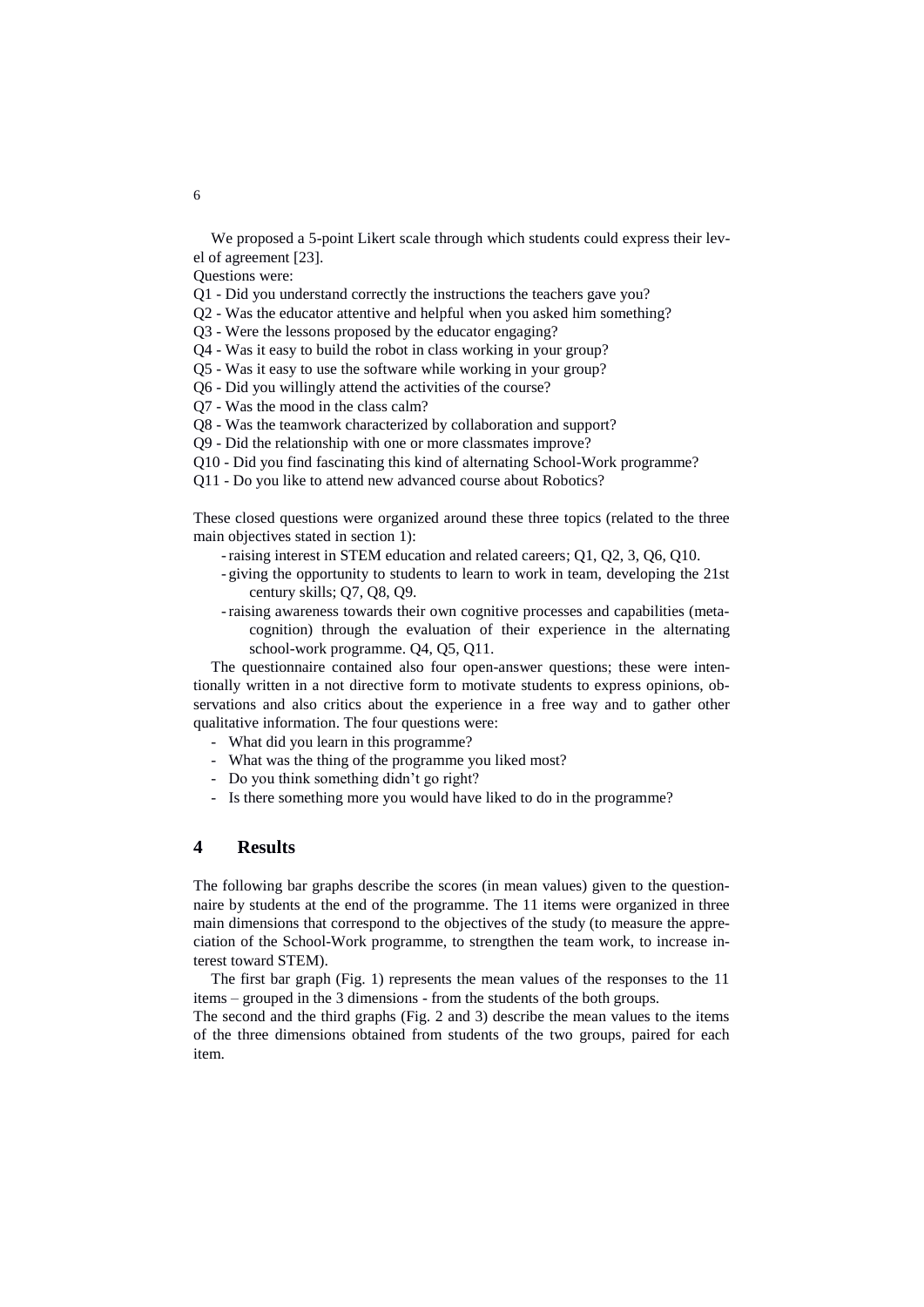We proposed a 5-point Likert scale through which students could express their level of agreement [23].

Questions were:

Q1 - Did you understand correctly the instructions the teachers gave you?

Q2 - Was the educator attentive and helpful when you asked him something?

Q3 - Were the lessons proposed by the educator engaging?

Q4 - Was it easy to build the robot in class working in your group?

Q5 - Was it easy to use the software while working in your group?

- Q6 Did you willingly attend the activities of the course?
- Q7 Was the mood in the class calm?

Q8 - Was the teamwork characterized by collaboration and support?

Q9 - Did the relationship with one or more classmates improve?

- Q10 Did you find fascinating this kind of alternating School-Work programme?
- Q11 Do you like to attend new advanced course about Robotics?

These closed questions were organized around these three topics (related to the three main objectives stated in section 1):

- -raising interest in STEM education and related careers; Q1, Q2, 3, Q6, Q10.
- giving the opportunity to students to learn to work in team, developing the 21st century skills; Q7, Q8, Q9.
- -raising awareness towards their own cognitive processes and capabilities (metacognition) through the evaluation of their experience in the alternating school-work programme. Q4, Q5, Q11.

The questionnaire contained also four open-answer questions; these were intentionally written in a not directive form to motivate students to express opinions, observations and also critics about the experience in a free way and to gather other qualitative information. The four questions were:

- What did you learn in this programme?
- What was the thing of the programme you liked most?
- Do you think something didn't go right?
- Is there something more you would have liked to do in the programme?

### **4 Results**

The following bar graphs describe the scores (in mean values) given to the questionnaire by students at the end of the programme. The 11 items were organized in three main dimensions that correspond to the objectives of the study (to measure the appreciation of the School-Work programme, to strengthen the team work, to increase interest toward STEM).

The first bar graph (Fig. 1) represents the mean values of the responses to the 11 items – grouped in the 3 dimensions - from the students of the both groups.

The second and the third graphs (Fig. 2 and 3) describe the mean values to the items of the three dimensions obtained from students of the two groups, paired for each item.

6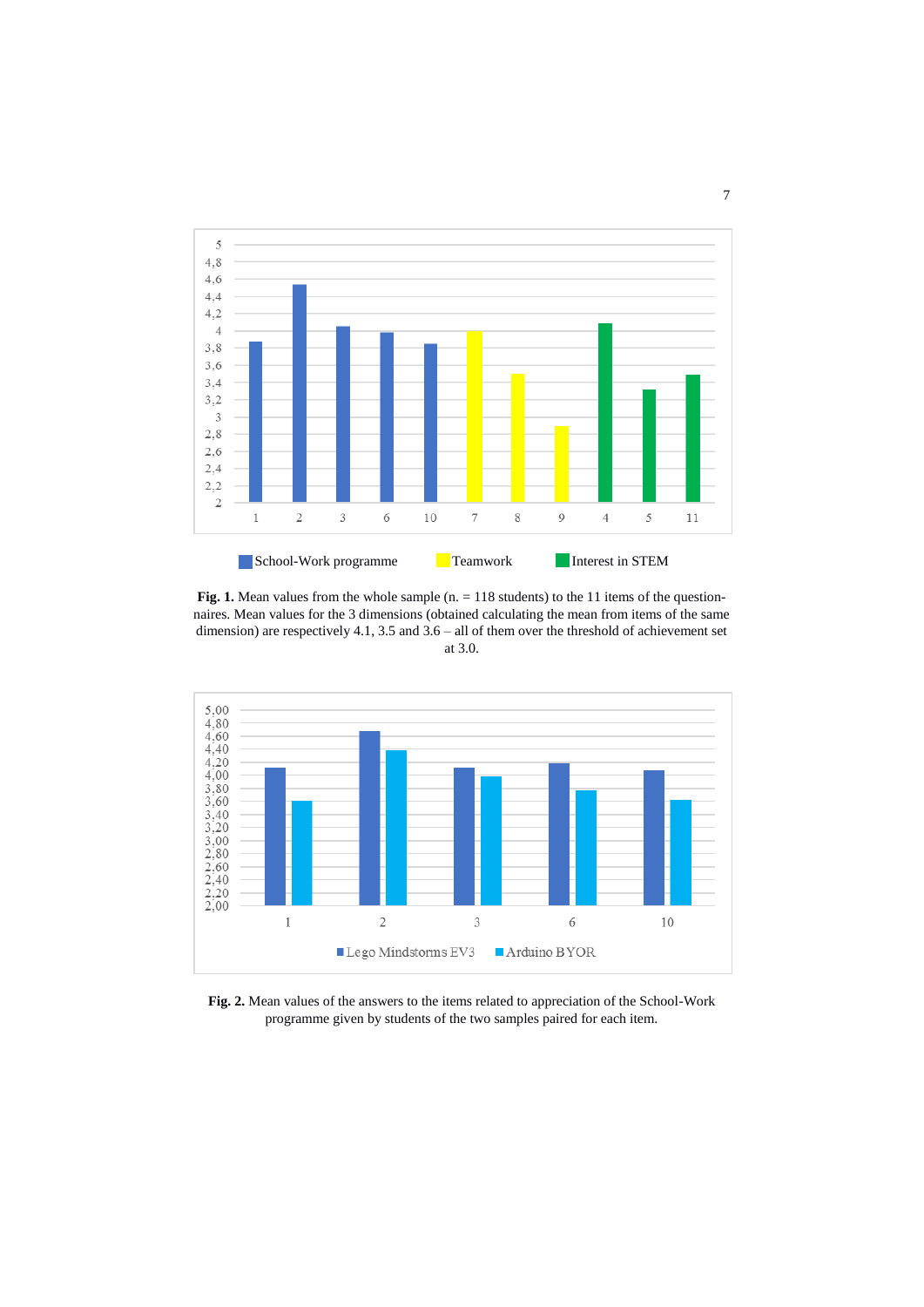

Fig. 1. Mean values from the whole sample (n. = 118 students) to the 11 items of the questionnaires. Mean values for the 3 dimensions (obtained calculating the mean from items of the same dimension) are respectively 4.1, 3.5 and 3.6 – all of them over the threshold of achievement set at 3.0.



**Fig. 2.** Mean values of the answers to the items related to appreciation of the School-Work programme given by students of the two samples paired for each item.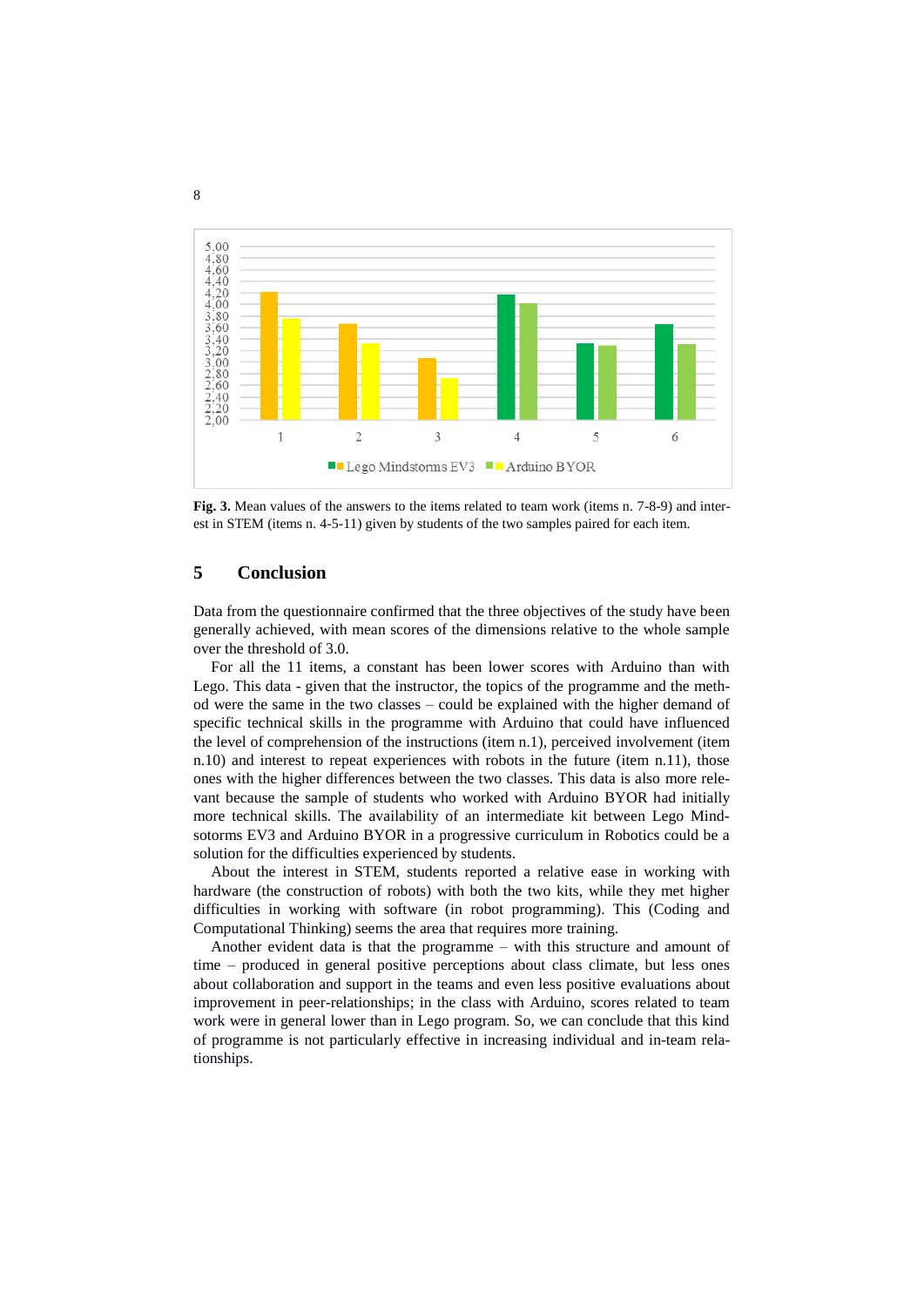

**Fig. 3.** Mean values of the answers to the items related to team work (items n. 7-8-9) and interest in STEM (items n. 4-5-11) given by students of the two samples paired for each item.

# **5 Conclusion**

Data from the questionnaire confirmed that the three objectives of the study have been generally achieved, with mean scores of the dimensions relative to the whole sample over the threshold of 3.0.

For all the 11 items, a constant has been lower scores with Arduino than with Lego. This data - given that the instructor, the topics of the programme and the method were the same in the two classes – could be explained with the higher demand of specific technical skills in the programme with Arduino that could have influenced the level of comprehension of the instructions (item n.1), perceived involvement (item n.10) and interest to repeat experiences with robots in the future (item n.11), those ones with the higher differences between the two classes. This data is also more relevant because the sample of students who worked with Arduino BYOR had initially more technical skills. The availability of an intermediate kit between Lego Mindsotorms EV3 and Arduino BYOR in a progressive curriculum in Robotics could be a solution for the difficulties experienced by students.

About the interest in STEM, students reported a relative ease in working with hardware (the construction of robots) with both the two kits, while they met higher difficulties in working with software (in robot programming). This (Coding and Computational Thinking) seems the area that requires more training.

Another evident data is that the programme – with this structure and amount of time – produced in general positive perceptions about class climate, but less ones about collaboration and support in the teams and even less positive evaluations about improvement in peer-relationships; in the class with Arduino, scores related to team work were in general lower than in Lego program. So, we can conclude that this kind of programme is not particularly effective in increasing individual and in-team relationships.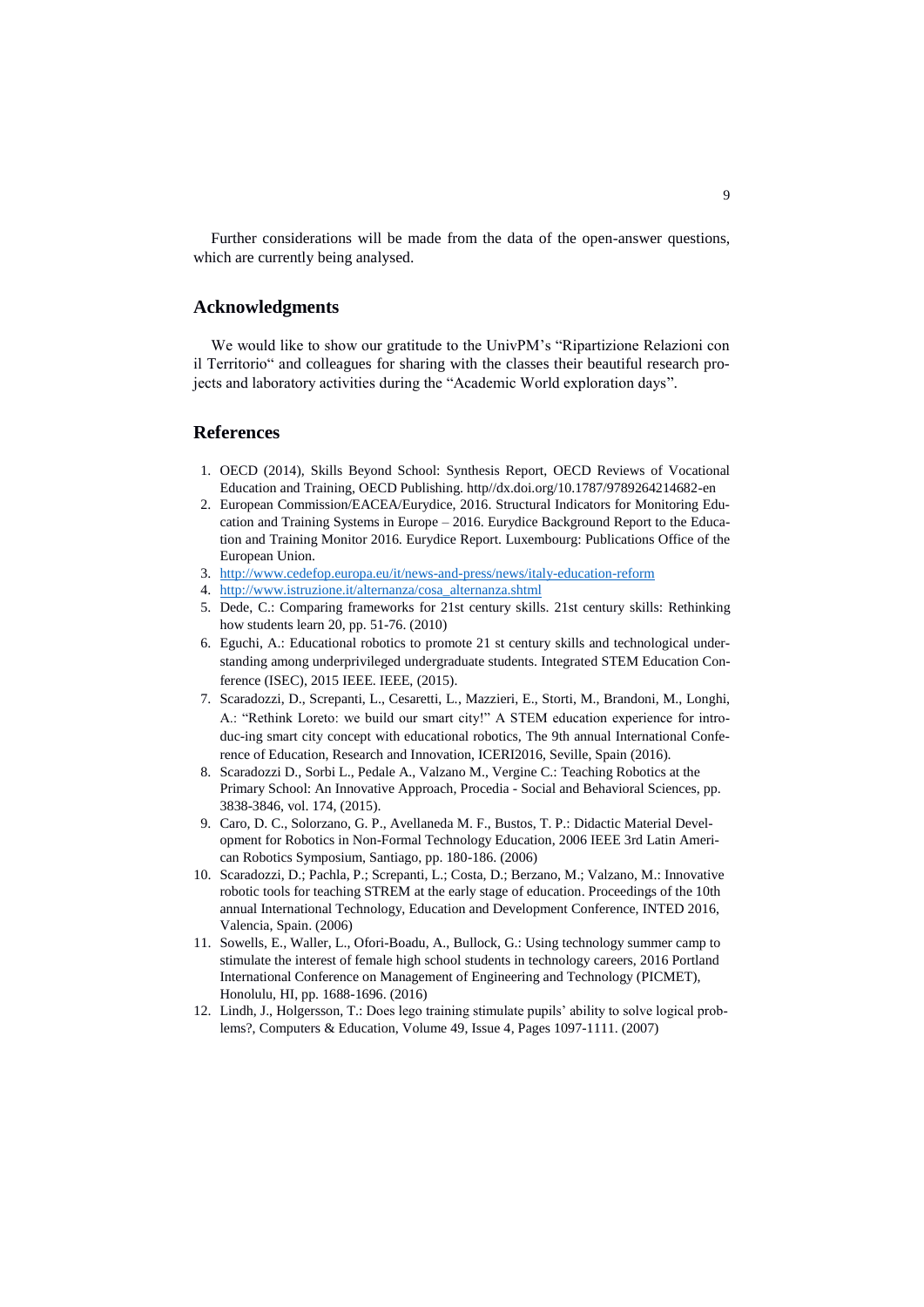Further considerations will be made from the data of the open-answer questions, which are currently being analysed.

#### **Acknowledgments**

We would like to show our gratitude to the UnivPM's "Ripartizione Relazioni con il Territorio" and colleagues for sharing with the classes their beautiful research projects and laboratory activities during the "Academic World exploration days".

## **References**

- 1. OECD (2014), Skills Beyond School: Synthesis Report, OECD Reviews of Vocational Education and Training, OECD Publishing. http//dx.doi.org/10.1787/9789264214682-en
- 2. European Commission/EACEA/Eurydice, 2016. Structural Indicators for Monitoring Education and Training Systems in Europe – 2016. Eurydice Background Report to the Education and Training Monitor 2016. Eurydice Report. Luxembourg: Publications Office of the European Union.
- 3. <http://www.cedefop.europa.eu/it/news-and-press/news/italy-education-reform>
- 4. [http://www.istruzione.it/alternanza/cosa\\_alternanza.shtml](http://www.istruzione.it/alternanza/cosa_alternanza.shtml)
- 5. Dede, C.: Comparing frameworks for 21st century skills. 21st century skills: Rethinking how students learn 20, pp. 51-76. (2010)
- 6. Eguchi, A.: Educational robotics to promote 21 st century skills and technological understanding among underprivileged undergraduate students. Integrated STEM Education Conference (ISEC), 2015 IEEE. IEEE, (2015).
- 7. Scaradozzi, D., Screpanti, L., Cesaretti, L., Mazzieri, E., Storti, M., Brandoni, M., Longhi, A.: "Rethink Loreto: we build our smart city!" A STEM education experience for introduc-ing smart city concept with educational robotics, The 9th annual International Conference of Education, Research and Innovation, ICERI2016, Seville, Spain (2016).
- 8. Scaradozzi D., Sorbi L., Pedale A., Valzano M., Vergine C.: Teaching Robotics at the Primary School: An Innovative Approach, Procedia - Social and Behavioral Sciences, pp. 3838-3846, vol. 174, (2015).
- 9. Caro, D. C., Solorzano, G. P., Avellaneda M. F., Bustos, T. P.: Didactic Material Development for Robotics in Non-Formal Technology Education, 2006 IEEE 3rd Latin American Robotics Symposium, Santiago, pp. 180-186. (2006)
- 10. Scaradozzi, D.; Pachla, P.; Screpanti, L.; Costa, D.; Berzano, M.; Valzano, M.: Innovative robotic tools for teaching STREM at the early stage of education. Proceedings of the 10th annual International Technology, Education and Development Conference, INTED 2016, Valencia, Spain. (2006)
- 11. Sowells, E., Waller, L., Ofori-Boadu, A., Bullock, G.: Using technology summer camp to stimulate the interest of female high school students in technology careers, 2016 Portland International Conference on Management of Engineering and Technology (PICMET), Honolulu, HI, pp. 1688-1696. (2016)
- 12. Lindh, J., Holgersson, T.: Does lego training stimulate pupils' ability to solve logical problems?, Computers & Education, Volume 49, Issue 4, Pages 1097-1111. (2007)